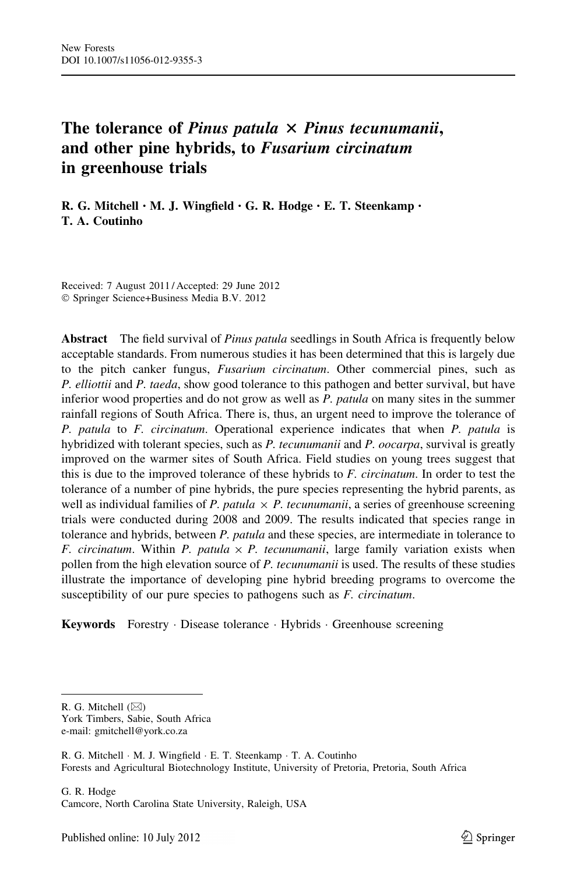# The tolerance of Pinus patula  $\times$  Pinus tecunumanii, and other pine hybrids, to Fusarium circinatum in greenhouse trials

R. G. Mitchell • M. J. Wingfield • G. R. Hodge • E. T. Steenkamp • T. A. Coutinho

Received: 7 August 2011 / Accepted: 29 June 2012 - Springer Science+Business Media B.V. 2012

Abstract The field survival of Pinus patula seedlings in South Africa is frequently below acceptable standards. From numerous studies it has been determined that this is largely due to the pitch canker fungus, Fusarium circinatum. Other commercial pines, such as P. elliottii and P. taeda, show good tolerance to this pathogen and better survival, but have inferior wood properties and do not grow as well as P. patula on many sites in the summer rainfall regions of South Africa. There is, thus, an urgent need to improve the tolerance of P. patula to F. circinatum. Operational experience indicates that when P. patula is hybridized with tolerant species, such as P. tecunumanii and P. oocarpa, survival is greatly improved on the warmer sites of South Africa. Field studies on young trees suggest that this is due to the improved tolerance of these hybrids to F. circinatum. In order to test the tolerance of a number of pine hybrids, the pure species representing the hybrid parents, as well as individual families of P. patula  $\times$  P. tecunumanii, a series of greenhouse screening trials were conducted during 2008 and 2009. The results indicated that species range in tolerance and hybrids, between  $P$ . patula and these species, are intermediate in tolerance to F. circinatum. Within P. patula  $\times$  P. tecunumanii, large family variation exists when pollen from the high elevation source of P. tecunumanii is used. The results of these studies illustrate the importance of developing pine hybrid breeding programs to overcome the susceptibility of our pure species to pathogens such as *F. circinatum*.

Keywords Forestry · Disease tolerance · Hybrids · Greenhouse screening

York Timbers, Sabie, South Africa e-mail: gmitchell@york.co.za

R. G. Mitchell  $(\boxtimes)$ 

R. G. Mitchell · M. J. Wingfield · E. T. Steenkamp · T. A. Coutinho Forests and Agricultural Biotechnology Institute, University of Pretoria, Pretoria, South Africa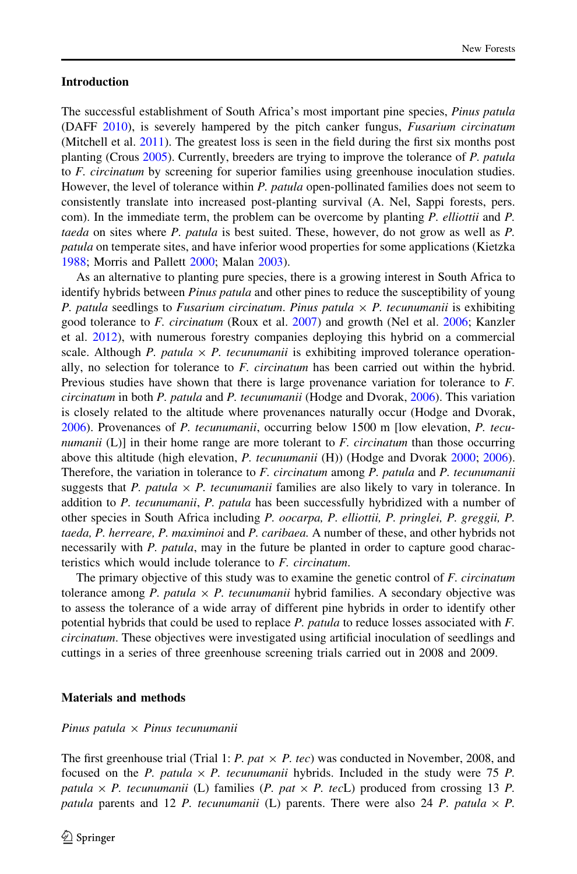## Introduction

The successful establishment of South Africa's most important pine species, Pinus patula (DAFF [2010](#page-13-0)), is severely hampered by the pitch canker fungus, Fusarium circinatum (Mitchell et al.  $2011$ ). The greatest loss is seen in the field during the first six months post planting (Crous [2005\)](#page-13-0). Currently, breeders are trying to improve the tolerance of P. patula to  $F$ , circinatum by screening for superior families using greenhouse inoculation studies. However, the level of tolerance within P. patula open-pollinated families does not seem to consistently translate into increased post-planting survival (A. Nel, Sappi forests, pers. com). In the immediate term, the problem can be overcome by planting P. elliottii and P. taeda on sites where P. patula is best suited. These, however, do not grow as well as P. patula on temperate sites, and have inferior wood properties for some applications (Kietzka [1988;](#page-13-0) Morris and Pallett [2000;](#page-13-0) Malan [2003\)](#page-13-0).

As an alternative to planting pure species, there is a growing interest in South Africa to identify hybrids between *Pinus patula* and other pines to reduce the susceptibility of young P. patula seedlings to Fusarium circinatum. Pinus patula  $\times$  P. tecunumanii is exhibiting good tolerance to F. circinatum (Roux et al. [2007\)](#page-13-0) and growth (Nel et al. [2006;](#page-13-0) Kanzler et al. [2012\)](#page-13-0), with numerous forestry companies deploying this hybrid on a commercial scale. Although P. patula  $\times$  P. tecunumanii is exhibiting improved tolerance operationally, no selection for tolerance to  $F$ . *circinatum* has been carried out within the hybrid. Previous studies have shown that there is large provenance variation for tolerance to F. circinatum in both P. patula and P. tecunumanii (Hodge and Dvorak, [2006\)](#page-13-0). This variation is closely related to the altitude where provenances naturally occur (Hodge and Dvorak, [2006\)](#page-13-0). Provenances of P. tecunumanii, occurring below 1500 m [low elevation, P. tecu*numanii* (L)] in their home range are more tolerant to F. circinatum than those occurring above this altitude (high elevation, P. tecunumanii (H)) (Hodge and Dvorak [2000](#page-13-0); [2006](#page-13-0)). Therefore, the variation in tolerance to  $F$ . *circinatum* among  $P$ . *patula* and  $P$ . *tecunumanii* suggests that P. patula  $\times$  P. tecunumanii families are also likely to vary in tolerance. In addition to P. tecunumanii, P. patula has been successfully hybridized with a number of other species in South Africa including P. oocarpa, P. elliottii, P. pringlei, P. greggii, P. taeda, P. herreare, P. maximinoi and P. caribaea. A number of these, and other hybrids not necessarily with P. patula, may in the future be planted in order to capture good characteristics which would include tolerance to F. circinatum.

The primary objective of this study was to examine the genetic control of  $F$ . *circinatum* tolerance among P. patula  $\times$  P. tecunumanii hybrid families. A secondary objective was to assess the tolerance of a wide array of different pine hybrids in order to identify other potential hybrids that could be used to replace  $P$ . patula to reduce losses associated with  $F$ . circinatum. These objectives were investigated using artificial inoculation of seedlings and cuttings in a series of three greenhouse screening trials carried out in 2008 and 2009.

## Materials and methods

#### Pinus patula  $\times$  Pinus tecunumanii

The first greenhouse trial (Trial 1: P. pat  $\times$  P. tec) was conducted in November, 2008, and focused on the P. patula  $\times$  P. tecunumanii hybrids. Included in the study were 75 P. patula  $\times$  P. tecunumanii (L) families (P. pat  $\times$  P. tecL) produced from crossing 13 P. patula parents and 12 P. tecunumanii (L) parents. There were also 24 P. patula  $\times$  P.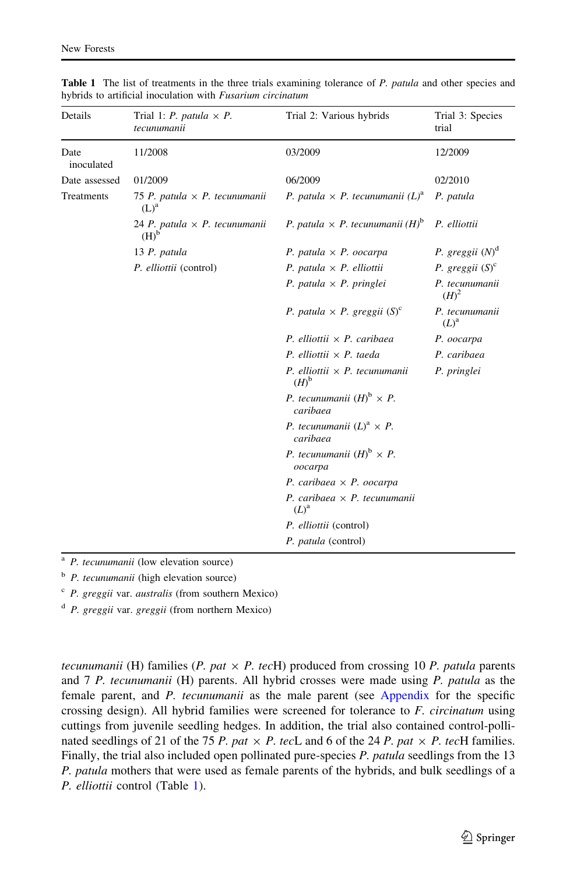| Details            | Trial 1: <i>P. patula</i> $\times$ <i>P.</i><br>tecunumanii | Trial 2: Various hybrids                                  | Trial 3: Species<br>trial |
|--------------------|-------------------------------------------------------------|-----------------------------------------------------------|---------------------------|
| Date<br>inoculated | 11/2008                                                     | 03/2009                                                   | 12/2009                   |
| Date assessed      | 01/2009                                                     | 06/2009                                                   | 02/2010                   |
| Treatments         | 75 P. patula $\times$ P. tecunumanii<br>$(L)$ <sup>a</sup>  | P. patula $\times$ P. tecunumanii $(L)^a$                 | P. patula                 |
|                    | 24 P. patula $\times$ P. tecunumanii<br>(H) <sup>b</sup>    | P. patula $\times$ P. tecunumanii (H) <sup>b</sup>        | P. elliottii              |
|                    | 13 P. patula                                                | P. patula $\times$ P. oocarpa                             | P. greggii $(N)^d$        |
|                    | P. elliottii (control)                                      | P. patula $\times$ P. elliottii                           | P. greggii $(S)^c$        |
|                    |                                                             | P. patula $\times$ P. pringlei                            | P. tecunumanii<br>$(H)^2$ |
|                    |                                                             | P. patula $\times$ P. greggii (S) <sup>c</sup>            | P. tecunumanii<br>$(L)^a$ |
|                    |                                                             | P. elliottii $\times$ P. caribaea                         | P. oocarpa                |
|                    |                                                             | P. elliottii $\times$ P. taeda                            | P. caribaea               |
|                    |                                                             | P. elliottii $\times$ P. tecunumanii<br>$(H)^\flat$       | P. pringlei               |
|                    |                                                             | P. tecunumanii $(H)^b \times P$ .<br>caribaea             |                           |
|                    |                                                             | P. tecunumanii $(L)^a \times P$ .<br>caribaea             |                           |
|                    |                                                             | P. tecunumanii $(H)^b \times P$ .<br>oocarpa              |                           |
|                    |                                                             | P. caribaea $\times$ P. oocarpa                           |                           |
|                    |                                                             | P. caribaea $\times$ P. tecunumanii<br>$(L)$ <sup>a</sup> |                           |
|                    |                                                             | P. elliottii (control)                                    |                           |
|                    |                                                             | P. patula (control)                                       |                           |

<span id="page-2-0"></span>Table 1 The list of treatments in the three trials examining tolerance of P. patula and other species and hybrids to artificial inoculation with Fusarium circinatum

<sup>a</sup> *P. tecunumanii* (low elevation source)

 $b$  *P. tecunumanii* (high elevation source)

 $\degree$  *P. greggii var. australis* (from southern Mexico)

 $d$  *P. greggii var. greggii (from northern Mexico)* 

tecunumanii (H) families (P. pat  $\times$  P. tecH) produced from crossing 10 P. patula parents and 7 P. tecunumanii (H) parents. All hybrid crosses were made using P. patula as the female parent, and P. tecunumanii as the male parent (see [Appendix](#page-11-0) for the specific crossing design). All hybrid families were screened for tolerance to F. circinatum using cuttings from juvenile seedling hedges. In addition, the trial also contained control-pollinated seedlings of 21 of the 75 P. pat  $\times$  P. tecL and 6 of the 24 P. pat  $\times$  P. tecH families. Finally, the trial also included open pollinated pure-species P. patula seedlings from the 13 P. patula mothers that were used as female parents of the hybrids, and bulk seedlings of a P. elliottii control (Table 1).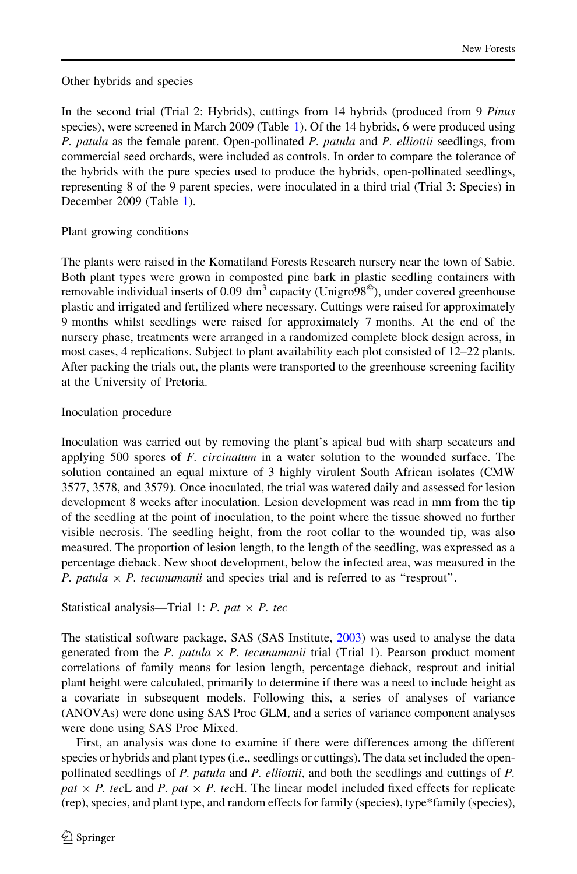Other hybrids and species

In the second trial (Trial 2: Hybrids), cuttings from 14 hybrids (produced from 9 Pinus species), were screened in March 2009 (Table [1](#page-2-0)). Of the 14 hybrids, 6 were produced using P. patula as the female parent. Open-pollinated P. patula and P. elliottii seedlings, from commercial seed orchards, were included as controls. In order to compare the tolerance of the hybrids with the pure species used to produce the hybrids, open-pollinated seedlings, representing 8 of the 9 parent species, were inoculated in a third trial (Trial 3: Species) in December 2009 (Table [1\)](#page-2-0).

Plant growing conditions

The plants were raised in the Komatiland Forests Research nursery near the town of Sabie. Both plant types were grown in composted pine bark in plastic seedling containers with removable individual inserts of 0.09 dm<sup>3</sup> capacity (Unigro98<sup>®</sup>), under covered greenhouse plastic and irrigated and fertilized where necessary. Cuttings were raised for approximately 9 months whilst seedlings were raised for approximately 7 months. At the end of the nursery phase, treatments were arranged in a randomized complete block design across, in most cases, 4 replications. Subject to plant availability each plot consisted of 12–22 plants. After packing the trials out, the plants were transported to the greenhouse screening facility at the University of Pretoria.

# Inoculation procedure

Inoculation was carried out by removing the plant's apical bud with sharp secateurs and applying  $500$  spores of  $F$ . *circinatum* in a water solution to the wounded surface. The solution contained an equal mixture of 3 highly virulent South African isolates (CMW 3577, 3578, and 3579). Once inoculated, the trial was watered daily and assessed for lesion development 8 weeks after inoculation. Lesion development was read in mm from the tip of the seedling at the point of inoculation, to the point where the tissue showed no further visible necrosis. The seedling height, from the root collar to the wounded tip, was also measured. The proportion of lesion length, to the length of the seedling, was expressed as a percentage dieback. New shoot development, below the infected area, was measured in the *P. patula*  $\times$  *P. tecunumanii* and species trial and is referred to as "resprout".

# Statistical analysis—Trial 1: P. pat  $\times$  P. tec

The statistical software package, SAS (SAS Institute, [2003](#page-13-0)) was used to analyse the data generated from the P. patula  $\times$  P. tecunumanii trial (Trial 1). Pearson product moment correlations of family means for lesion length, percentage dieback, resprout and initial plant height were calculated, primarily to determine if there was a need to include height as a covariate in subsequent models. Following this, a series of analyses of variance (ANOVAs) were done using SAS Proc GLM, and a series of variance component analyses were done using SAS Proc Mixed.

First, an analysis was done to examine if there were differences among the different species or hybrids and plant types (i.e., seedlings or cuttings). The data set included the openpollinated seedlings of P. patula and P. elliottii, and both the seedlings and cuttings of P. pat  $\times$  P. tecL and P. pat  $\times$  P. tecH. The linear model included fixed effects for replicate (rep), species, and plant type, and random effects for family (species), type\*family (species),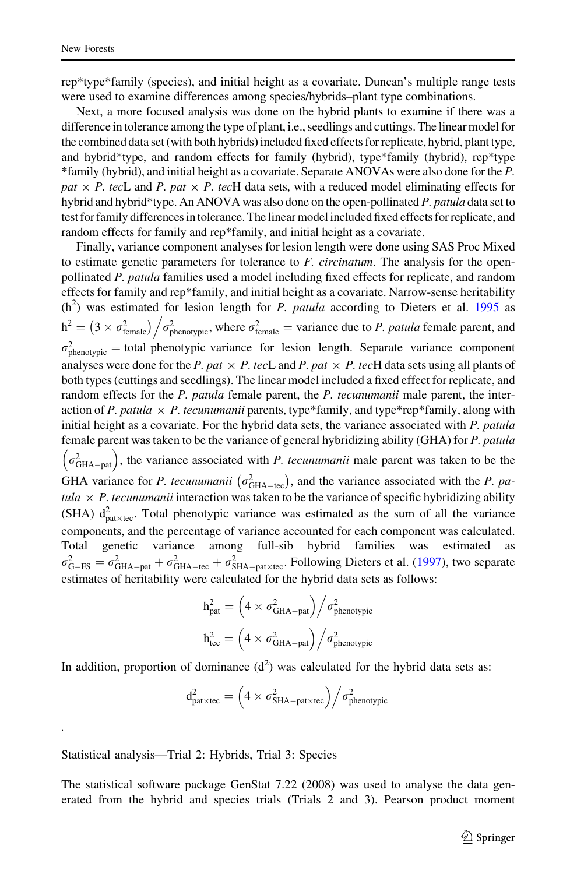rep\*type\*family (species), and initial height as a covariate. Duncan's multiple range tests were used to examine differences among species/hybrids–plant type combinations.

Next, a more focused analysis was done on the hybrid plants to examine if there was a difference in tolerance among the type of plant, i.e., seedlings and cuttings. The linear model for the combined data set (with both hybrids) included fixed effects for replicate, hybrid, plant type, and hybrid\*type, and random effects for family (hybrid), type\*family (hybrid), rep\*type \*family (hybrid), and initial height as a covariate. Separate ANOVAs were also done for the P. pat  $\times$  P. tecL and P. pat  $\times$  P. tecH data sets, with a reduced model eliminating effects for hybrid and hybrid\*type. An ANOVA was also done on the open-pollinated P. patula data set to test for family differences in tolerance. The linear model included fixed effects for replicate, and random effects for family and rep\*family, and initial height as a covariate.

Finally, variance component analyses for lesion length were done using SAS Proc Mixed to estimate genetic parameters for tolerance to  $F$ . *circinatum*. The analysis for the openpollinated P. patula families used a model including fixed effects for replicate, and random effects for family and rep\*family, and initial height as a covariate. Narrow-sense heritability  $(h<sup>2</sup>)$  was estimated for lesion length for *P. patula* according to Dieters et al. [1995](#page-13-0) as  $h^2 = (3 \times \sigma_{\text{female}}^2) / \sigma_{\text{phenotypic}}^2$ , where  $\sigma_{\text{female}}^2 = \text{variance}$  due to *P. patula* female parent, and  $\sigma_{\text{phenotypic}}^2$  = total phenotypic variance for lesion length. Separate variance component analyses were done for the P. pat  $\times$  P. tecL and P. pat  $\times$  P. tecH data sets using all plants of both types (cuttings and seedlings). The linear model included a fixed effect for replicate, and random effects for the P. patula female parent, the P. tecunumanii male parent, the interaction of P. patula  $\times$  P. tecunumanii parents, type\*family, and type\*rep\*family, along with initial height as a covariate. For the hybrid data sets, the variance associated with  $P$ . patula female parent was taken to be the variance of general hybridizing ability (GHA) for P. patula  $\left(\sigma_{\text{GHA-pat}}^2\right)$ , the variance associated with *P. tecunumanii* male parent was taken to be the GHA variance for *P. tecunumanii*  $(\sigma_{\text{GHA}-\text{tec}}^2)$ , and the variance associated with the *P. pa*tula  $\times$  P. tecunumanii interaction was taken to be the variance of specific hybridizing ability (SHA)  $d_{\text{pat}\times\text{tec}}^2$ . Total phenotypic variance was estimated as the sum of all the variance components, and the percentage of variance accounted for each component was calculated. Total genetic variance among full-sib hybrid families was estimated as  $\sigma_{\text{G--FS}}^2 = \sigma_{\text{GHA}-\text{pat}}^2 + \sigma_{\text{GHA}-\text{tec}}^2 + \sigma_{\text{SHA}-\text{pat}\times\text{tec}}^2$ . Following Dieters et al. ([1997](#page-13-0)), two separate estimates of heritability were calculated for the hybrid data sets as follows:

$$
h_{pat}^{2}=\Big(4\times\sigma_{\textrm{GHA-path}}^{2}\Big)\Big/\sigma_{\textrm{phenotypic}}^{2}
$$
  

$$
h_{tcc}^{2}=\Big(4\times\sigma_{\textrm{GHA-path}}^{2}\Big)\Big/\sigma_{\textrm{phenotypic}}^{2}
$$

In addition, proportion of dominance  $(d^2)$  was calculated for the hybrid data sets as:

$$
d_{pat \times tec}^2 = \left(4 \times \sigma_{SHA-pat \times tec}^2\right) \bigg/ \sigma_{phenotypic}^2
$$

Statistical analysis—Trial 2: Hybrids, Trial 3: Species

.

The statistical software package GenStat 7.22 (2008) was used to analyse the data generated from the hybrid and species trials (Trials 2 and 3). Pearson product moment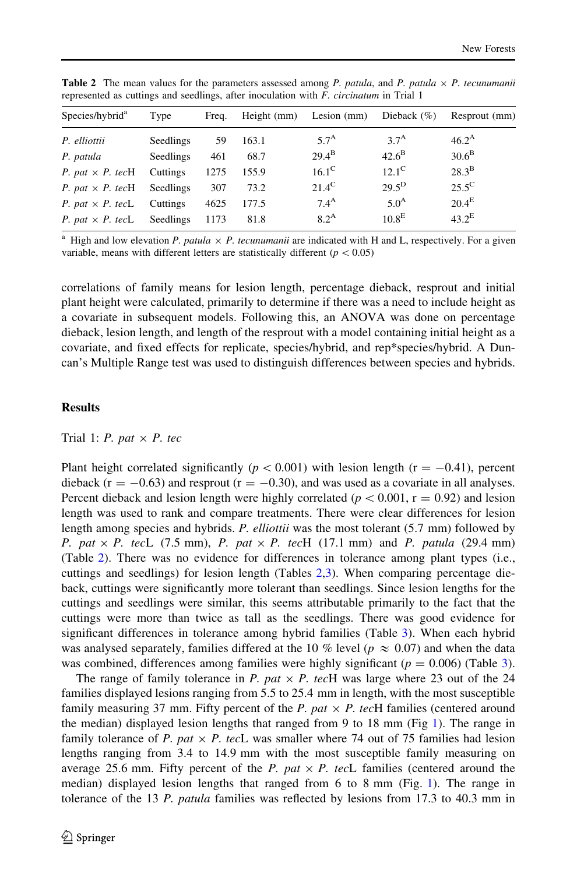| Species/hybrid <sup>a</sup>            | Type      | Freq. | Height (mm) | Lesion $(mm)$    | Dieback $(\%)$      | Resprout (mm)       |
|----------------------------------------|-----------|-------|-------------|------------------|---------------------|---------------------|
| P. elliottii                           | Seedlings | 59    | 163.1       | $5.7^{A}$        | 3.7 <sup>A</sup>    | $46.2^{\rm A}$      |
| P. patula                              | Seedlings | 461   | 68.7        | $29.4^{\rm B}$   | $42.6^{\mathrm{B}}$ | $30.6^{\mathrm{B}}$ |
| <i>P.</i> pat $\times$ <i>P.</i> tecH  | Cuttings  | 1275  | 155.9       | $16.1^{\circ}$   | $12.1^\circ$        | $28.3^{\mathrm{B}}$ |
| <i>P.</i> pat $\times$ <i>P.</i> tecH  | Seedlings | 307   | 73.2        | $21.4^\text{C}$  | $29.5^{\mathrm{D}}$ | $25.5^{\circ}$      |
| <i>P. pat</i> $\times$ <i>P. tec</i> L | Cuttings  | 4625  | 177.5       | 7.4 <sup>A</sup> | 5.0 <sup>A</sup>    | $20.4^{\rm E}$      |
| <i>P. pat</i> $\times$ <i>P. tec</i> L | Seedlings | 1173  | 81.8        | $8.2^{\text{A}}$ | 10.8 <sup>E</sup>   | $43.2^{\mathrm{E}}$ |

**Table 2** The mean values for the parameters assessed among P. patula, and P. patula  $\times$  P. tecunumanii represented as cuttings and seedlings, after inoculation with F. circinatum in Trial 1

High and low elevation P. patula  $\times$  P. tecunumanii are indicated with H and L, respectively. For a given variable, means with different letters are statistically different ( $p < 0.05$ )

correlations of family means for lesion length, percentage dieback, resprout and initial plant height were calculated, primarily to determine if there was a need to include height as a covariate in subsequent models. Following this, an ANOVA was done on percentage dieback, lesion length, and length of the resprout with a model containing initial height as a covariate, and fixed effects for replicate, species/hybrid, and rep\*species/hybrid. A Duncan's Multiple Range test was used to distinguish differences between species and hybrids.

#### **Results**

Trial 1: *P. pat*  $\times$  *P. tec* 

Plant height correlated significantly ( $p < 0.001$ ) with lesion length (r = -0.41), percent dieback ( $r = -0.63$ ) and resprout ( $r = -0.30$ ), and was used as a covariate in all analyses. Percent dieback and lesion length were highly correlated ( $p < 0.001$ , r = 0.92) and lesion length was used to rank and compare treatments. There were clear differences for lesion length among species and hybrids. P. elliottii was the most tolerant (5.7 mm) followed by P. pat  $\times$  P. tecL (7.5 mm), P. pat  $\times$  P. tecH (17.1 mm) and P. patula (29.4 mm) (Table 2). There was no evidence for differences in tolerance among plant types (i.e., cuttings and seedlings) for lesion length (Tables 2,[3\)](#page-6-0). When comparing percentage dieback, cuttings were significantly more tolerant than seedlings. Since lesion lengths for the cuttings and seedlings were similar, this seems attributable primarily to the fact that the cuttings were more than twice as tall as the seedlings. There was good evidence for significant differences in tolerance among hybrid families (Table [3\)](#page-6-0). When each hybrid was analysed separately, families differed at the 10 % level ( $p \approx 0.07$ ) and when the data was combined, differences among families were highly significant ( $p = 0.006$ ) (Table [3](#page-6-0)).

The range of family tolerance in P. pat  $\times$  P. tecH was large where 23 out of the 24 families displayed lesions ranging from 5.5 to 25.4 mm in length, with the most susceptible family measuring 37 mm. Fifty percent of the P. pat  $\times$  P. tecH families (centered around the median) displayed lesion lengths that ranged from 9 to 18 mm (Fig [1\)](#page-7-0). The range in family tolerance of P. pat  $\times$  P. tecL was smaller where 74 out of 75 families had lesion lengths ranging from 3.4 to 14.9 mm with the most susceptible family measuring on average 25.6 mm. Fifty percent of the P. pat  $\times$  P. tecL families (centered around the median) displayed lesion lengths that ranged from 6 to 8 mm (Fig. [1\)](#page-7-0). The range in tolerance of the 13 P. patula families was reflected by lesions from 17.3 to 40.3 mm in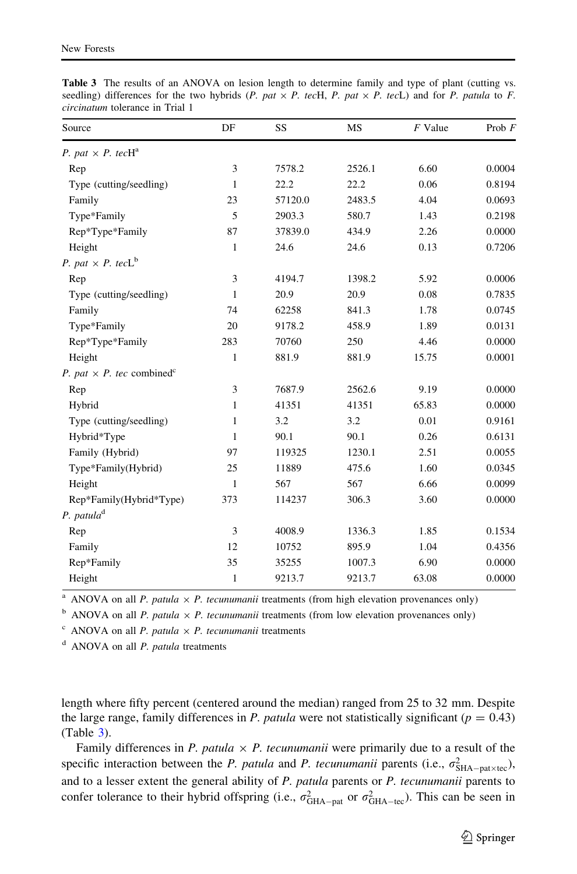| Source                                                     | DF           | SS      | MS     | $F$ Value | Prob $F$ |
|------------------------------------------------------------|--------------|---------|--------|-----------|----------|
| P. pat $\times$ P. tecH <sup>a</sup>                       |              |         |        |           |          |
| Rep                                                        | 3            | 7578.2  | 2526.1 | 6.60      | 0.0004   |
| Type (cutting/seedling)                                    | 1            | 22.2    | 22.2   | 0.06      | 0.8194   |
| Family                                                     | 23           | 57120.0 | 2483.5 | 4.04      | 0.0693   |
| Type*Family                                                | 5            | 2903.3  | 580.7  | 1.43      | 0.2198   |
| Rep*Type*Family                                            | 87           | 37839.0 | 434.9  | 2.26      | 0.0000   |
| Height                                                     | 1            | 24.6    | 24.6   | 0.13      | 0.7206   |
| <i>P.</i> pat $\times$ <i>P.</i> tecL <sup>b</sup>         |              |         |        |           |          |
| Rep                                                        | 3            | 4194.7  | 1398.2 | 5.92      | 0.0006   |
| Type (cutting/seedling)                                    | 1            | 20.9    | 20.9   | 0.08      | 0.7835   |
| Family                                                     | 74           | 62258   | 841.3  | 1.78      | 0.0745   |
| Type*Family                                                | 20           | 9178.2  | 458.9  | 1.89      | 0.0131   |
| Rep*Type*Family                                            | 283          | 70760   | 250    | 4.46      | 0.0000   |
| Height                                                     | 1            | 881.9   | 881.9  | 15.75     | 0.0001   |
| <i>P. pat</i> $\times$ <i>P. tec</i> combined <sup>c</sup> |              |         |        |           |          |
| Rep                                                        | 3            | 7687.9  | 2562.6 | 9.19      | 0.0000   |
| Hybrid                                                     | $\mathbf{1}$ | 41351   | 41351  | 65.83     | 0.0000   |
| Type (cutting/seedling)                                    | 1            | 3.2     | 3.2    | 0.01      | 0.9161   |
| Hybrid*Type                                                | 1            | 90.1    | 90.1   | 0.26      | 0.6131   |
| Family (Hybrid)                                            | 97           | 119325  | 1230.1 | 2.51      | 0.0055   |
| Type*Family(Hybrid)                                        | 25           | 11889   | 475.6  | 1.60      | 0.0345   |
| Height                                                     | $\mathbf{1}$ | 567     | 567    | 6.66      | 0.0099   |
| Rep*Family(Hybrid*Type)                                    | 373          | 114237  | 306.3  | 3.60      | 0.0000   |
| $P.$ patula <sup>d</sup>                                   |              |         |        |           |          |
| Rep                                                        | 3            | 4008.9  | 1336.3 | 1.85      | 0.1534   |
| Family                                                     | 12           | 10752   | 895.9  | 1.04      | 0.4356   |
| Rep*Family                                                 | 35           | 35255   | 1007.3 | 6.90      | 0.0000   |
| Height                                                     | $\,1$        | 9213.7  | 9213.7 | 63.08     | 0.0000   |

<span id="page-6-0"></span>Table 3 The results of an ANOVA on lesion length to determine family and type of plant (cutting vs. seedling) differences for the two hybrids (P. pat  $\times$  P. tecH, P. pat  $\times$  P. tecL) and for P. patula to F. circinatum tolerance in Trial 1

<sup>a</sup> ANOVA on all *P. patula*  $\times$  *P. tecunumanii* treatments (from high elevation provenances only)

 $<sup>b</sup>$  ANOVA on all *P. patula*  $\times$  *P. tecunumanii* treatments (from low elevation provenances only)</sup>

<sup>c</sup> ANOVA on all *P. patula*  $\times$  *P. tecunumanii* treatments

 $d$  ANOVA on all *P. patula* treatments

length where fifty percent (centered around the median) ranged from 25 to 32 mm. Despite the large range, family differences in P. patula were not statistically significant ( $p = 0.43$ ) (Table 3).

Family differences in P. patula  $\times$  P. tecunumanii were primarily due to a result of the specific interaction between the *P. patula* and *P. tecunumanii* parents (i.e.,  $\sigma_{\text{SHA-pat \times tec}}^2$ ), and to a lesser extent the general ability of P. patula parents or P. tecunumanii parents to confer tolerance to their hybrid offspring (i.e.,  $\sigma_{\text{GHA-pat}}^2$  or  $\sigma_{\text{GHA-tec}}^2$ ). This can be seen in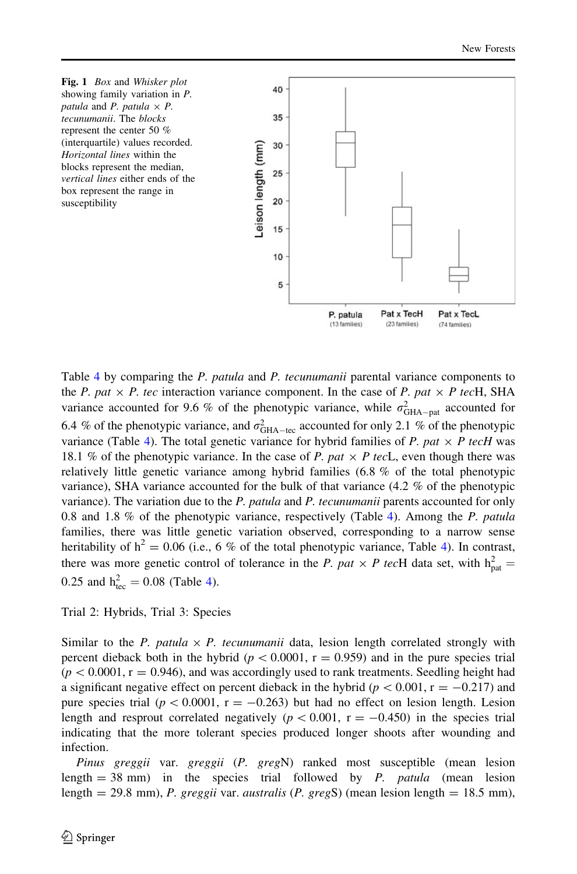<span id="page-7-0"></span>

Table [4](#page-8-0) by comparing the P. patula and P. tecunumanii parental variance components to the P. pat  $\times$  P. tec interaction variance component. In the case of P. pat  $\times$  P tecH, SHA variance accounted for 9.6 % of the phenotypic variance, while  $\sigma_{\text{GHA-pat}}^2$  accounted for 6.4 % of the phenotypic variance, and  $\sigma_{\text{GHA}-\text{tec}}^2$  accounted for only 2.1 % of the phenotypic variance (Table [4\)](#page-8-0). The total genetic variance for hybrid families of P. pat  $\times$  P tecH was 18.1 % of the phenotypic variance. In the case of P. pat  $\times$  P tecL, even though there was relatively little genetic variance among hybrid families (6.8 % of the total phenotypic variance), SHA variance accounted for the bulk of that variance (4.2 % of the phenotypic variance). The variation due to the P. patula and P. tecunumanii parents accounted for only 0.8 and 1.8 % of the phenotypic variance, respectively (Table [4\)](#page-8-0). Among the P. patula families, there was little genetic variation observed, corresponding to a narrow sense heritability of  $h^2 = 0.06$  (i.e., 6 % of the total phenotypic variance, Table [4\)](#page-8-0). In contrast, there was more genetic control of tolerance in the P. pat  $\times$  P tecH data set, with  $h_{\text{pat}}^2$  = 0.25 and  $h_{\text{tec}}^2 = 0.08$  (Table [4\)](#page-8-0).

# Trial 2: Hybrids, Trial 3: Species

Similar to the P. patula  $\times$  P. tecunumanii data, lesion length correlated strongly with percent dieback both in the hybrid ( $p < 0.0001$ , r = 0.959) and in the pure species trial  $(p < 0.0001, r = 0.946)$ , and was accordingly used to rank treatments. Seedling height had a significant negative effect on percent dieback in the hybrid ( $p < 0.001$ , r =  $-0.217$ ) and pure species trial ( $p < 0.0001$ ,  $r = -0.263$ ) but had no effect on lesion length. Lesion length and resprout correlated negatively ( $p < 0.001$ ,  $r = -0.450$ ) in the species trial indicating that the more tolerant species produced longer shoots after wounding and infection.

Pinus greggii var. greggii (P. gregN) ranked most susceptible (mean lesion length  $= 38$  mm) in the species trial followed by P. patula (mean lesion length = 29.8 mm), P. greggii var. australis (P. gregS) (mean lesion length = 18.5 mm),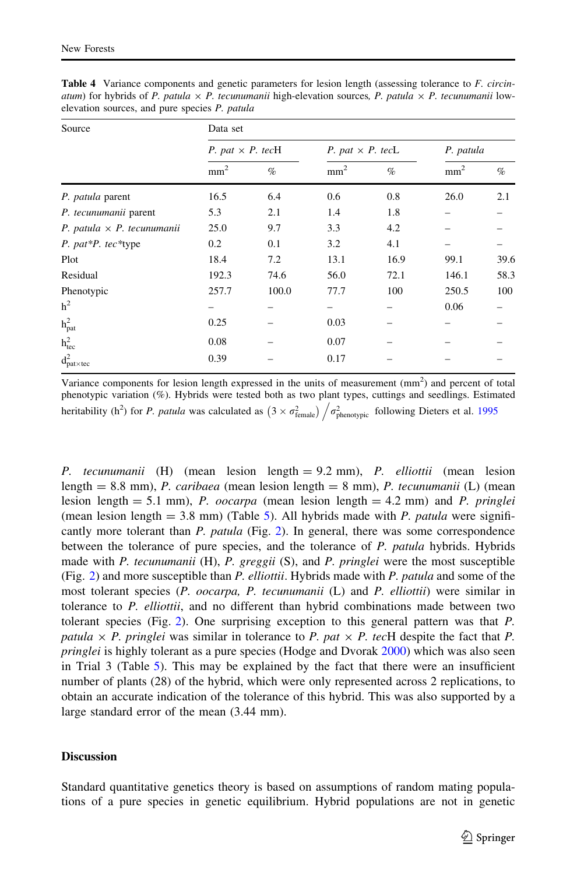| Source                            | Data set                              |       |                                       |      |                 |      |
|-----------------------------------|---------------------------------------|-------|---------------------------------------|------|-----------------|------|
|                                   | <i>P.</i> pat $\times$ <i>P.</i> tecH |       | <i>P.</i> pat $\times$ <i>P.</i> tecL |      | P. patula       |      |
|                                   | mm <sup>2</sup>                       | $\%$  | mm <sup>2</sup>                       | $\%$ | $\mathrm{mm}^2$ | $\%$ |
| P. patula parent                  | 16.5                                  | 6.4   | 0.6                                   | 0.8  | 26.0            | 2.1  |
| P. tecunumanii parent             | 5.3                                   | 2.1   | 1.4                                   | 1.8  |                 |      |
| P. patula $\times$ P. tecunumanii | 25.0                                  | 9.7   | 3.3                                   | 4.2  |                 |      |
| P. pat*P. tec*type                | 0.2                                   | 0.1   | 3.2                                   | 4.1  |                 |      |
| Plot                              | 18.4                                  | 7.2   | 13.1                                  | 16.9 | 99.1            | 39.6 |
| Residual                          | 192.3                                 | 74.6  | 56.0                                  | 72.1 | 146.1           | 58.3 |
| Phenotypic                        | 257.7                                 | 100.0 | 77.7                                  | 100  | 250.5           | 100  |
| h <sup>2</sup>                    |                                       |       |                                       |      | 0.06            |      |
| $h_{\rm pat}^2$                   | 0.25                                  |       | 0.03                                  |      |                 |      |
| $h_{\text{tec}}^2$                | 0.08                                  |       | 0.07                                  |      |                 |      |
| $d_{pat \times tec}^2$            | 0.39                                  |       | 0.17                                  |      |                 |      |

<span id="page-8-0"></span>Table 4 Variance components and genetic parameters for lesion length (assessing tolerance to F. circinatum) for hybrids of P. patula  $\times$  P. tecunumanii high-elevation sources, P. patula  $\times$  P. tecunumanii lowelevation sources, and pure species P. patula

Variance components for lesion length expressed in the units of measurement (mm<sup>2</sup>) and percent of total phenotypic variation (%). Hybrids were tested both as two plant types, cuttings and seedlings. Estimated heritability (h<sup>2</sup>) for *P. patula* was calculated as  $(3 \times \sigma_{\text{female}}^2) / \sigma_{\text{phenotypic}}^2$  following Dieters et al. [1995](#page-13-0)

P. tecunumanii (H) (mean lesion length  $= 9.2$  mm), P. elliottii (mean lesion length = 8.8 mm), P. caribaea (mean lesion length = 8 mm), P. tecunumanii (L) (mean lesion length = 5.1 mm), P. oocarpa (mean lesion length = 4.2 mm) and P. pringlei (mean lesion length  $= 3.8$  mm) (Table [5\)](#page-9-0). All hybrids made with P. patula were significantly more tolerant than  $P$ . *patula* (Fig. [2](#page-9-0)). In general, there was some correspondence between the tolerance of pure species, and the tolerance of P. patula hybrids. Hybrids made with P. tecunumanii (H), P. greggii (S), and P. pringlei were the most susceptible (Fig. [2\)](#page-9-0) and more susceptible than P. elliottii. Hybrids made with P. patula and some of the most tolerant species (P. oocarpa, P. tecunumanii (L) and P. elliottii) were similar in tolerance to P. elliottii, and no different than hybrid combinations made between two tolerant species (Fig. [2](#page-9-0)). One surprising exception to this general pattern was that  $P$ . patula  $\times$  P. pringlei was similar in tolerance to P. pat  $\times$  P. tecH despite the fact that P. pringlei is highly tolerant as a pure species (Hodge and Dvorak [2000\)](#page-13-0) which was also seen in Trial 3 (Table [5\)](#page-9-0). This may be explained by the fact that there were an insufficient number of plants (28) of the hybrid, which were only represented across 2 replications, to obtain an accurate indication of the tolerance of this hybrid. This was also supported by a large standard error of the mean (3.44 mm).

#### **Discussion**

Standard quantitative genetics theory is based on assumptions of random mating populations of a pure species in genetic equilibrium. Hybrid populations are not in genetic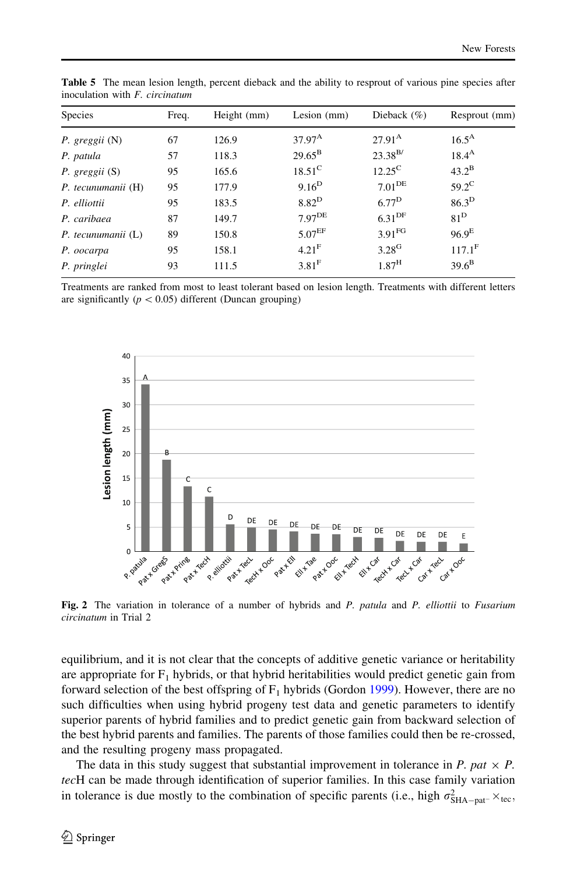| <b>Species</b>     | Freq. | Height (mm) | Lesion $(mm)$        | Dieback $(\% )$      | Resprout (mm)     |
|--------------------|-------|-------------|----------------------|----------------------|-------------------|
| P.~greggi (N)      | 67    | 126.9       | $37.97^{\rm A}$      | 27.91 <sup>A</sup>   | $16.5^{\rm A}$    |
| P. patula          | 57    | 118.3       | $29.65^{\rm B}$      | $23.38^{B/}$         | $18.4^{A}$        |
| P.~greggi (S)      | 95    | 165.6       | $18.51^{\circ}$      | $12.25^{\rm C}$      | $43.2^{\rm B}$    |
| P. tecunumanii (H) | 95    | 177.9       | $9.16^D$             | $7.01$ <sup>DE</sup> | $59.2^{\circ}$    |
| P. elliottii       | 95    | 183.5       | $8.82^D$             | 6.77 <sup>D</sup>    | $86.3^D$          |
| P. caribaea        | 87    | 149.7       | 7.97 <sup>DE</sup>   | 6.31 <sup>DF</sup>   | $81^D$            |
| P. tecunumanii (L) | 89    | 150.8       | $5.07$ <sup>EF</sup> | $3.91$ <sup>FG</sup> | 96.9 <sup>E</sup> |
| P. oocarpa         | 95    | 158.1       | 4.21 <sup>F</sup>    | $3.28$ <sup>G</sup>  | $117.1^{\rm F}$   |
| P. pringlei        | 93    | 111.5       | 3.81 <sup>F</sup>    | $1.87^{\rm H}$       | $39.6^B$          |
|                    |       |             |                      |                      |                   |

<span id="page-9-0"></span>Table 5 The mean lesion length, percent dieback and the ability to resprout of various pine species after inoculation with  $F$ . circinatum

Treatments are ranked from most to least tolerant based on lesion length. Treatments with different letters are significantly ( $p < 0.05$ ) different (Duncan grouping)



Fig. 2 The variation in tolerance of a number of hybrids and P. patula and P. elliottii to Fusarium circinatum in Trial 2

equilibrium, and it is not clear that the concepts of additive genetic variance or heritability are appropriate for  $F_1$  hybrids, or that hybrid heritabilities would predict genetic gain from forward selection of the best offspring of  $F_1$  hybrids (Gordon [1999](#page-13-0)). However, there are no such difficulties when using hybrid progeny test data and genetic parameters to identify superior parents of hybrid families and to predict genetic gain from backward selection of the best hybrid parents and families. The parents of those families could then be re-crossed, and the resulting progeny mass propagated.

The data in this study suggest that substantial improvement in tolerance in P. pat  $\times$  P. tecH can be made through identification of superior families. In this case family variation in tolerance is due mostly to the combination of specific parents (i.e., high  $\sigma_{\text{SHA-pat}}^2 \times_{\text{tec}}$ )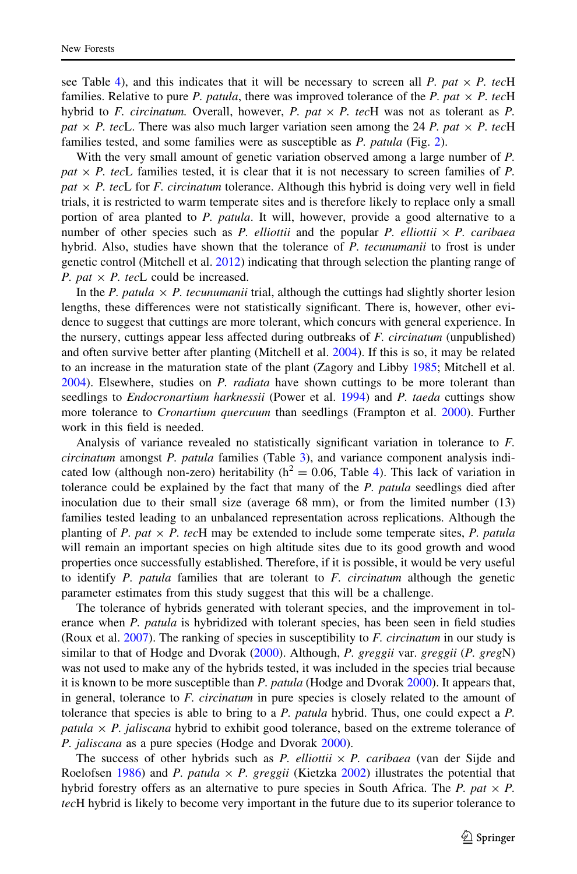see Table [4](#page-8-0)), and this indicates that it will be necessary to screen all P. pat  $\times$  P. tecH families. Relative to pure P. patula, there was improved tolerance of the P. pat  $\times$  P. tecH hybrid to F. circinatum. Overall, however, P. pat  $\times$  P. tecH was not as tolerant as P. pat  $\times$  P. tecL. There was also much larger variation seen among the 24 P. pat  $\times$  P. tecH families tested, and some families were as susceptible as P. patula (Fig. [2\)](#page-9-0).

With the very small amount of genetic variation observed among a large number of P. pat  $\times$  P. tecL families tested, it is clear that it is not necessary to screen families of P. pat  $\times$  P. tecL for F. circinatum tolerance. Although this hybrid is doing very well in field trials, it is restricted to warm temperate sites and is therefore likely to replace only a small portion of area planted to P. patula. It will, however, provide a good alternative to a number of other species such as P. elliottii and the popular P. elliottii  $\times$  P. caribaea hybrid. Also, studies have shown that the tolerance of P. tecunumanii to frost is under genetic control (Mitchell et al. [2012](#page-13-0)) indicating that through selection the planting range of *P. pat*  $\times$  *P. tec*L could be increased.

In the P. patula  $\times$  P. tecunumanii trial, although the cuttings had slightly shorter lesion lengths, these differences were not statistically significant. There is, however, other evidence to suggest that cuttings are more tolerant, which concurs with general experience. In the nursery, cuttings appear less affected during outbreaks of  $F$ . *circinatum* (unpublished) and often survive better after planting (Mitchell et al. [2004](#page-13-0)). If this is so, it may be related to an increase in the maturation state of the plant (Zagory and Libby [1985](#page-13-0); Mitchell et al. [2004\)](#page-13-0). Elsewhere, studies on P. radiata have shown cuttings to be more tolerant than seedlings to *Endocronartium harknessii* (Power et al. [1994\)](#page-13-0) and *P. taeda* cuttings show more tolerance to *Cronartium quercuum* than seedlings (Frampton et al. [2000](#page-13-0)). Further work in this field is needed.

Analysis of variance revealed no statistically significant variation in tolerance to F. circinatum amongst P. patula families (Table [3](#page-6-0)), and variance component analysis indicated low (although non-zero) heritability ( $h^2 = 0.06$ , Table [4](#page-8-0)). This lack of variation in tolerance could be explained by the fact that many of the  $P$ . patula seedlings died after inoculation due to their small size (average 68 mm), or from the limited number (13) families tested leading to an unbalanced representation across replications. Although the planting of P. pat  $\times$  P. tecH may be extended to include some temperate sites, P. patula will remain an important species on high altitude sites due to its good growth and wood properties once successfully established. Therefore, if it is possible, it would be very useful to identify  $P$ . *patula* families that are tolerant to  $F$ . *circinatum* although the genetic parameter estimates from this study suggest that this will be a challenge.

The tolerance of hybrids generated with tolerant species, and the improvement in tolerance when P. patula is hybridized with tolerant species, has been seen in field studies (Roux et al. [2007](#page-13-0)). The ranking of species in susceptibility to  $F$ . *circinatum* in our study is similar to that of Hodge and Dvorak ([2000](#page-13-0)). Although, P. greggii var. greggii  $(P. \, greg)$ was not used to make any of the hybrids tested, it was included in the species trial because it is known to be more susceptible than P. patula (Hodge and Dvorak [2000](#page-13-0)). It appears that, in general, tolerance to  $F$ . *circinatum* in pure species is closely related to the amount of tolerance that species is able to bring to a  $P$ . *patula* hybrid. Thus, one could expect a  $P$ . patula  $\times$  P. jaliscana hybrid to exhibit good tolerance, based on the extreme tolerance of P. jaliscana as a pure species (Hodge and Dvorak [2000\)](#page-13-0).

The success of other hybrids such as P. elliottii  $\times$  P. caribaea (van der Sijde and Roelofsen [1986\)](#page-13-0) and P. patula  $\times$  P. greggii (Kietzka [2002](#page-13-0)) illustrates the potential that hybrid forestry offers as an alternative to pure species in South Africa. The P. pat  $\times$  P. tecH hybrid is likely to become very important in the future due to its superior tolerance to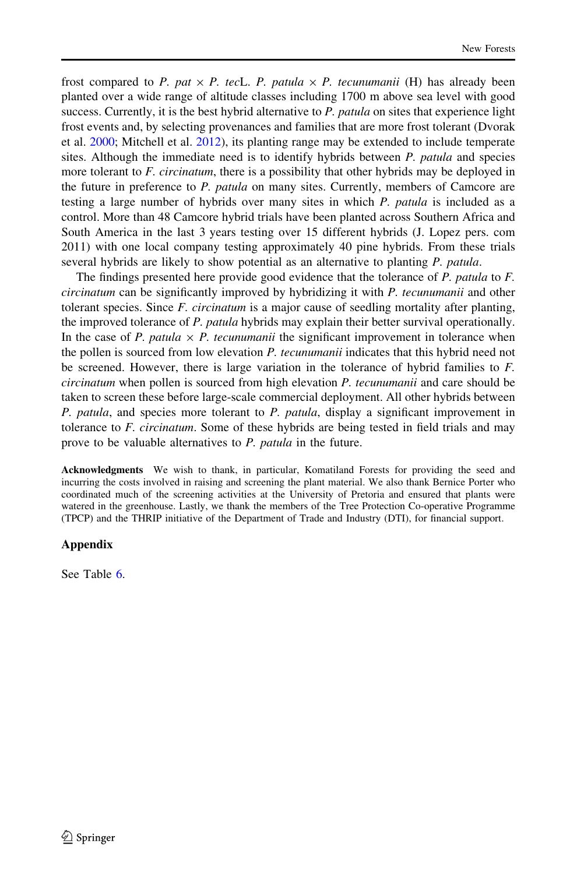<span id="page-11-0"></span>frost compared to P. pat  $\times$  P. tecL. P. patula  $\times$  P. tecunumanii (H) has already been planted over a wide range of altitude classes including 1700 m above sea level with good success. Currently, it is the best hybrid alternative to P. patula on sites that experience light frost events and, by selecting provenances and families that are more frost tolerant (Dvorak et al. [2000](#page-13-0); Mitchell et al. [2012](#page-13-0)), its planting range may be extended to include temperate sites. Although the immediate need is to identify hybrids between P. patula and species more tolerant to  $F$ . *circinatum*, there is a possibility that other hybrids may be deployed in the future in preference to P. patula on many sites. Currently, members of Camcore are testing a large number of hybrids over many sites in which P. patula is included as a control. More than 48 Camcore hybrid trials have been planted across Southern Africa and South America in the last 3 years testing over 15 different hybrids (J. Lopez pers. com 2011) with one local company testing approximately 40 pine hybrids. From these trials several hybrids are likely to show potential as an alternative to planting *P. patula*.

The findings presented here provide good evidence that the tolerance of P. patula to F. circinatum can be significantly improved by hybridizing it with P. tecunumanii and other tolerant species. Since  $F$ . *circinatum* is a major cause of seedling mortality after planting, the improved tolerance of P. patula hybrids may explain their better survival operationally. In the case of P. patula  $\times$  P. tecunumanii the significant improvement in tolerance when the pollen is sourced from low elevation P. tecunumanii indicates that this hybrid need not be screened. However, there is large variation in the tolerance of hybrid families to  $F$ . circinatum when pollen is sourced from high elevation P. tecunumanii and care should be taken to screen these before large-scale commercial deployment. All other hybrids between P. patula, and species more tolerant to P. patula, display a significant improvement in tolerance to F. circinatum. Some of these hybrids are being tested in field trials and may prove to be valuable alternatives to P. patula in the future.

Acknowledgments We wish to thank, in particular, Komatiland Forests for providing the seed and incurring the costs involved in raising and screening the plant material. We also thank Bernice Porter who coordinated much of the screening activities at the University of Pretoria and ensured that plants were watered in the greenhouse. Lastly, we thank the members of the Tree Protection Co-operative Programme (TPCP) and the THRIP initiative of the Department of Trade and Industry (DTI), for financial support.

# Appendix

See Table [6](#page-12-0).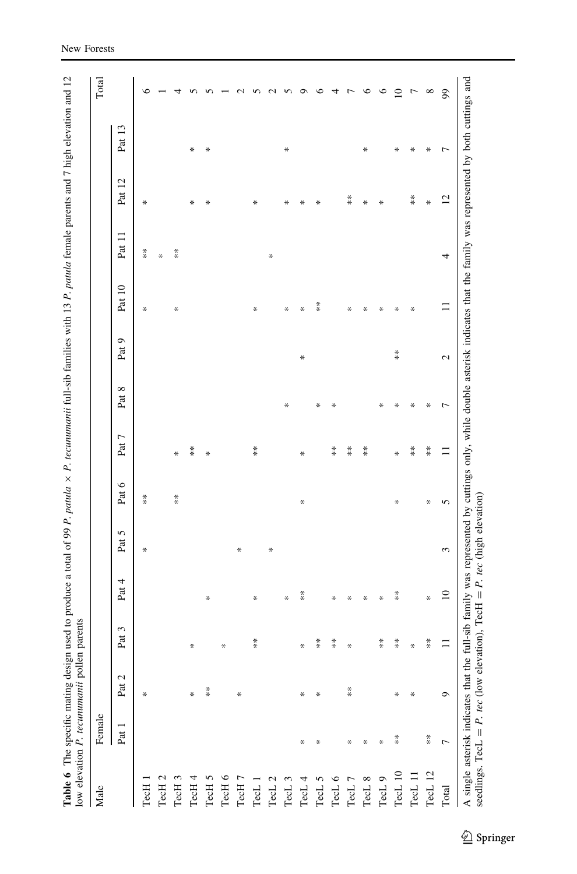<span id="page-12-0"></span>

| Male               | Female |                   |          |                 |       |       |                      |       |               |        |                      |        |                | Total           |
|--------------------|--------|-------------------|----------|-----------------|-------|-------|----------------------|-------|---------------|--------|----------------------|--------|----------------|-----------------|
|                    | Pat 1  | 2<br>Pat          | Pat 3    | Pat 4           | Pat 5 | Pat 6 | Pat 7                | Pat 8 | Pat 9         | Pat 10 | Pat 11               | Pat 12 | Pat 13         |                 |
| TecH               |        | ∗                 |          |                 | ∗     | $*$   |                      |       |               | ∗      | $\stackrel{*}{\ast}$ | ∗      |                | ७               |
| TecH <sub>2</sub>  |        |                   |          |                 |       |       |                      |       |               |        | ∗                    |        |                |                 |
| TecH <sub>3</sub>  |        |                   |          |                 |       | $*$   | ∗                    |       |               | ∗      | $*$                  |        |                |                 |
| TecH <sub>4</sub>  |        | ₩                 | ⋇        |                 |       |       | $\stackrel{*}{\ast}$ |       |               |        |                      | ∗      | ∗              | $\sqrt{2}$      |
| TecH <sub>5</sub>  |        | $\stackrel{*}{*}$ |          | ⋇               |       |       | ⋇                    |       |               |        |                      | ⋇      | ⋇              | n               |
| Tech 6             |        |                   | ⋇        |                 |       |       |                      |       |               |        |                      |        |                |                 |
| TecH <sub>7</sub>  |        | ₩                 |          |                 | ∗     |       |                      |       |               |        |                      |        |                |                 |
| TecL               |        |                   | $*$      | ₩               |       |       | $\stackrel{*}{*}$    |       |               | ⋇      |                      | ₩      |                | n               |
| TecL 2             |        |                   |          |                 | ⋇     |       |                      |       |               |        | ⋇                    |        |                | N               |
| 3<br>TecL:         |        |                   |          | ∗               |       |       |                      | ∗     |               | ∗      |                      | ⋇      | ∗              | 5               |
| TecL 4             | ⋇      | ⋇                 | ⋇        | $* *$           |       | ⋇     | ⋇                    |       | ∗             | ₩      |                      | ⋇      |                | $\circ$         |
| TecL <sub>5</sub>  | ⋇      | ⋇                 | $*$      |                 |       |       |                      | ⋇     |               | $* *$  |                      | $\ast$ |                | $\circ$         |
| TecL 6             |        |                   | $*$      | ⋇               |       |       | $\stackrel{*}{\ast}$ | ⋇     |               |        |                      |        |                | 4               |
| TecL 7             | ⋇      | $\stackrel{*}{*}$ | ∗        | ⋇               |       |       | $\stackrel{*}{*}$    |       |               | ⋇      |                      | $* *$  |                | $\overline{ }$  |
| TecL <sub>8</sub>  | ⋇      |                   |          | ⋇               |       |       | $\stackrel{*}{*}$    |       |               | ⋇      |                      | ∗      | ∗              | $\circ$         |
| TecL $9$           | ⋇      |                   | $*$      | ∗               |       |       |                      | ⋇     |               | ⋇      |                      | ∗      |                | $\circ$         |
| TecL 10            | $*$    | ⋇                 | $*$      | $* *$           |       | ∗     | ∗                    | ⋇     | $*$           | ⋇      |                      |        | ⋇              | $\overline{10}$ |
| TecL <sub>11</sub> |        | ⋇                 | X        |                 |       |       | $\frac{*}{*}$        | ⋇     |               | ⋇      |                      | $*$    | ∗              | $\overline{ }$  |
| TecL 12            | $*$    |                   | $*$      | ₩               |       | ⋇     | $*$                  | ₩     |               |        |                      | ×      | ⋇              | ${}^{\circ}$    |
| Total              | 7      | $\circ$           | $\equiv$ | $\overline{10}$ | 3     | 5     | $\Box$               | 7     | $\mathcal{L}$ | $\Box$ | 4                    | 12     | $\overline{ }$ | 99              |